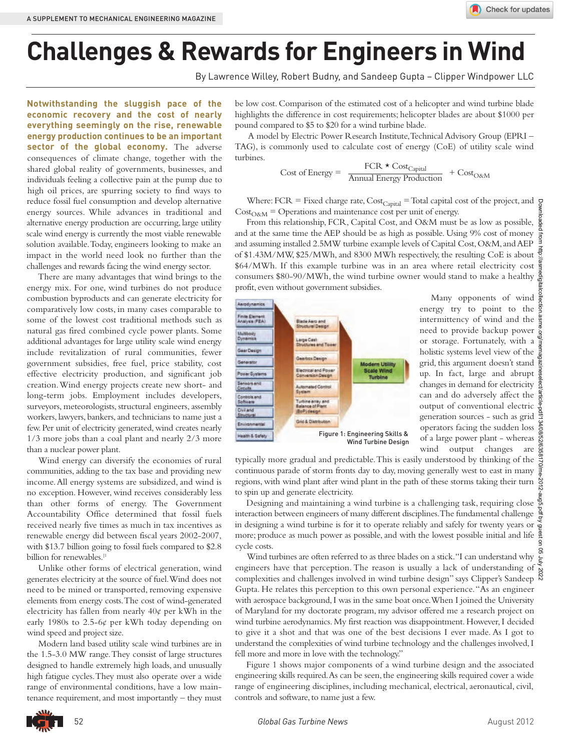

## **Challenges & Rewards for Engineers in Wind**

By Lawrence Willey, Robert Budny, and Sandeep Gupta – Clipper Windpower LLC

**Notwithstanding the sluggish pace of the economic recovery and the cost of nearly everything seemingly on the rise, renewable energy production continues to be an important sector of the global economy.** The adverse consequences of climate change, together with the shared global reality of governments, businesses, and individuals feeling a collective pain at the pump due to high oil prices, are spurring society to find ways to reduce fossil fuel consumption and develop alternative energy sources. While advances in traditional and alternative energy production are occurring, large utility scale wind energy is currently the most viable renewable solution available. Today, engineers looking to make an impact in the world need look no further than the challenges and rewards facing the wind energy sector.

There are many advantages that wind brings to the energy mix. For one, wind turbines do not produce combustion byproducts and can generate electricity for comparatively low costs, in many cases comparable to some of the lowest cost traditional methods such as natural gas fired combined cycle power plants. Some additional advantages for large utility scale wind energy include revitalization of rural communities, fewer government subsidies, free fuel, price stability, cost effective electricity production, and significant job creation. Wind energy projects create new short- and long-term jobs. Employment includes developers, surveyors, meteorologists, structural engineers, assembly workers, lawyers, bankers, and technicians to name just a few. Per unit of electricity generated, wind creates nearly 1/3 more jobs than a coal plant and nearly 2/3 more than a nuclear power plant. Receive the consequent of the consequent of the consequent of the consequent of the consequent of the consequent of the consequent of the consequent of the consequent of the consequent of the consequent of the consequent

Wind energy can diversify the economies of rural communities, adding to the tax base and providing new income. All energy systems are subsidized, and wind is no exception. However, wind receives considerably less than other forms of energy. The Government Accountability Office determined that fossil fuels received nearly five times as much in tax incentives as renewable energy did between fiscal years 2002-2007, with \$13.7 billion going to fossil fuels compared to \$2.8 billion for renewables.<sup>[1</sup>

Unlike other forms of electrical generation, wind generates electricity at the source of fuel. Wind does not need to be mined or transported, removing expensive elements from energy costs. The cost of wind-generated electricity has fallen from nearly 40¢ per kWh in the early 1980s to 2.5-6¢ per kWh today depending on wind speed and project size.

Modern land based utility scale wind turbines are in the 1.5-3.0 MW range. They consist of large structures designed to handle extremely high loads, and unusually high fatigue cycles. They must also operate over a wide range of environmental conditions, have a low maintenance requirement, and most importantly – they must

be low cost. Comparison of the estimated cost of a helicopter and wind turbine blade highlights the difference in cost requirements; helicopter blades are about \$1000 per pound compared to \$5 to \$20 for a wind turbine blade.

A model by Electric Power Research Institute, Technical Advisory Group (EPRI – TAG), is commonly used to calculate cost of energy (CoE) of utility scale wind turbines.

 $\text{Cost of Energy} = \frac{\text{FCR} \star \text{Cost}_{\text{Capital}}}{\text{Annual Energy Production}} + \text{Cost}_{\text{O&M}}$ 

Where: FCR = Fixed charge rate,  $Cost_{Capital}$  = Total capital cost of the project, and  $g$  $Cost<sub>O&M</sub> = Operations$  and maintenance cost per unit of energy.

From this relationship, FCR, Capital Cost, and O&M must be as low as possible,  $\frac{8}{9}$ and at the same time the AEP should be as high as possible. Using 9% cost of money and assuming installed 2.5MW turbine example levels of Capital Cost, O&M, and AEP of \$1.43M/MW/  $\degree$  25/MW turbine example levels of Capital Cost, O&M, and AEP  $\frac{3}{7}$ of \$1.43M/MW, \$25/MWh, and 8300 MWh respectively, the resulting CoE is about \$64/MWh. If this example turbine was in an area where retail electricity cost consumers \$80-90/MWh, the wind turbine owner would stand to make a healthy profit, even without government subsidies.



Many opponents of wind  $\frac{9}{8}$ energy try to point to the intermittency of wind and the need to provide backup power or storage. Fortunately, with a holistic systems level view of the  $\frac{3}{8}$ grid, this argument doesn't stand up. In fact, large and abrupt changes in demand for electricity can and do adversely affect the output of conventional electric generation sources - such as grid operators facing the sudden loss of a large power plant - whereas wind output changes are

typically more gradual and predictable. This is easily understood by thinking of the continuous parade of storm fronts day to day, moving generally west to east in many regions, with wind plant after wind plant in the path of these storms taking their turn  $\frac{1}{2}$ to spin up and generate electricity.

Designing and maintaining a wind turbine is a challenging task, requiring close interaction between engineers of many different disciplines. The fundamental challenge in designing a wind turbine is for it to operate reliably and safely for twenty years or more; produce as much power as possible, and with the lowest possible initial and life cycle costs.

Wind turbines are often referred to as three blades on a stick. "I can understand why engineers have that perception. The reason is usually a lack of understanding of complexities and challenges involved in wind turbine design" says Clipper's Sandeep Gupta. He relates this perception to this own personal experience. "As an engineer with aerospace background, I was in the same boat once. When I joined the University of Maryland for my doctorate program, my advisor offered me a research project on wind turbine aerodynamics. My first reaction was disappointment. However, I decided to give it a shot and that was one of the best decisions I ever made. As I got to understand the complexities of wind turbine technology and the challenges involved, I fell more and more in love with the technology."

Figure 1 shows major components of a wind turbine design and the associated engineering skills required. As can be seen, the engineering skills required cover a wide range of engineering disciplines, including mechanical, electrical, aeronautical, civil, controls and software, to name just a few.